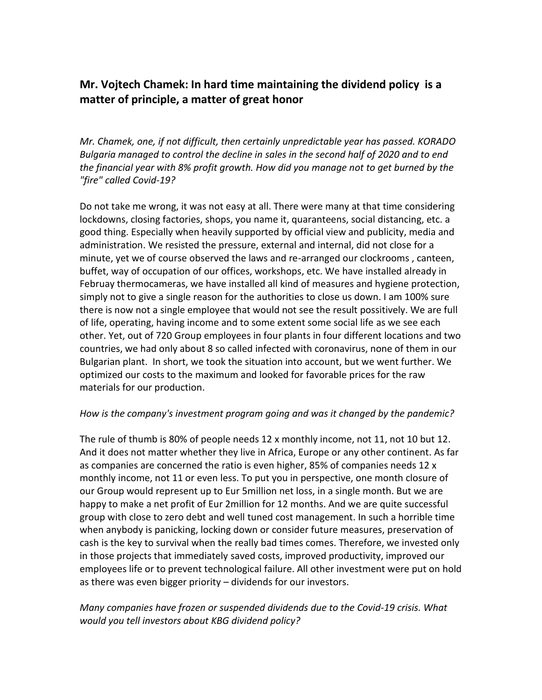# **Mr. Vojtech Chamek: In hard time maintaining the dividend policy is a matter of principle, a matter of great honor**

*Mr. Chamek, one, if not difficult, then certainly unpredictable year has passed. KORADO Bulgaria managed to control the decline in sales in the second half of 2020 and to end the financial year with 8% profit growth. How did you manage not to get burned by the "fire" called Covid-19?*

Do not take me wrong, it was not easy at all. There were many at that time considering lockdowns, closing factories, shops, you name it, quaranteens, social distancing, etc. a good thing. Especially when heavily supported by official view and publicity, media and administration. We resisted the pressure, external and internal, did not close for a minute, yet we of course observed the laws and re-arranged our clockrooms , canteen, buffet, way of occupation of our offices, workshops, etc. We have installed already in Februay thermocameras, we have installed all kind of measures and hygiene protection, simply not to give a single reason for the authorities to close us down. I am 100% sure there is now not a single employee that would not see the result possitively. We are full of life, operating, having income and to some extent some social life as we see each other. Yet, out of 720 Group employees in four plants in four different locations and two countries, we had only about 8 so called infected with coronavirus, none of them in our Bulgarian plant. In short, we took the situation into account, but we went further. We optimized our costs to the maximum and looked for favorable prices for the raw materials for our production.

#### *How is the company's investment program going and was it changed by the pandemic?*

The rule of thumb is 80% of people needs 12 x monthly income, not 11, not 10 but 12. And it does not matter whether they live in Africa, Europe or any other continent. As far as companies are concerned the ratio is even higher, 85% of companies needs 12 x monthly income, not 11 or even less. To put you in perspective, one month closure of our Group would represent up to Eur 5million net loss, in a single month. But we are happy to make a net profit of Eur 2million for 12 months. And we are quite successful group with close to zero debt and well tuned cost management. In such a horrible time when anybody is panicking, locking down or consider future measures, preservation of cash is the key to survival when the really bad times comes. Therefore, we invested only in those projects that immediately saved costs, improved productivity, improved our employees life or to prevent technological failure. All other investment were put on hold as there was even bigger priority – dividends for our investors.

## *Many companies have frozen or suspended dividends due to the Covid-19 crisis. What would you tell investors about KBG dividend policy?*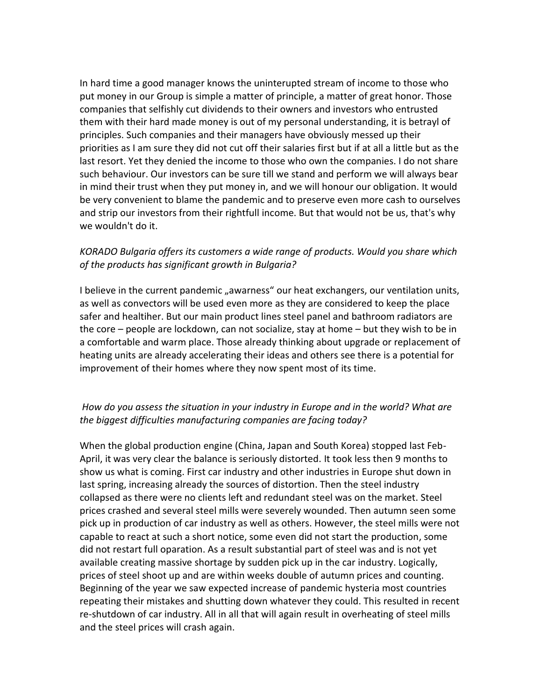In hard time a good manager knows the uninterupted stream of income to those who put money in our Group is simple a matter of principle, a matter of great honor. Those companies that selfishly cut dividends to their owners and investors who entrusted them with their hard made money is out of my personal understanding, it is betrayl of principles. Such companies and their managers have obviously messed up their priorities as I am sure they did not cut off their salaries first but if at all a little but as the last resort. Yet they denied the income to those who own the companies. I do not share such behaviour. Our investors can be sure till we stand and perform we will always bear in mind their trust when they put money in, and we will honour our obligation. It would be very convenient to blame the pandemic and to preserve even more cash to ourselves and strip our investors from their rightfull income. But that would not be us, that's why we wouldn't do it.

### *KORADO Bulgaria offers its customers a wide range of products. Would you share which of the products has significant growth in Bulgaria?*

I believe in the current pandemic "awarness" our heat exchangers, our ventilation units, as well as convectors will be used even more as they are considered to keep the place safer and healtiher. But our main product lines steel panel and bathroom radiators are the core – people are lockdown, can not socialize, stay at home – but they wish to be in a comfortable and warm place. Those already thinking about upgrade or replacement of heating units are already accelerating their ideas and others see there is a potential for improvement of their homes where they now spent most of its time.

## *How do you assess the situation in your industry in Europe and in the world? What are the biggest difficulties manufacturing companies are facing today?*

When the global production engine (China, Japan and South Korea) stopped last Feb-April, it was very clear the balance is seriously distorted. It took less then 9 months to show us what is coming. First car industry and other industries in Europe shut down in last spring, increasing already the sources of distortion. Then the steel industry collapsed as there were no clients left and redundant steel was on the market. Steel prices crashed and several steel mills were severely wounded. Then autumn seen some pick up in production of car industry as well as others. However, the steel mills were not capable to react at such a short notice, some even did not start the production, some did not restart full oparation. As a result substantial part of steel was and is not yet available creating massive shortage by sudden pick up in the car industry. Logically, prices of steel shoot up and are within weeks double of autumn prices and counting. Beginning of the year we saw expected increase of pandemic hysteria most countries repeating their mistakes and shutting down whatever they could. This resulted in recent re-shutdown of car industry. All in all that will again result in overheating of steel mills and the steel prices will crash again.